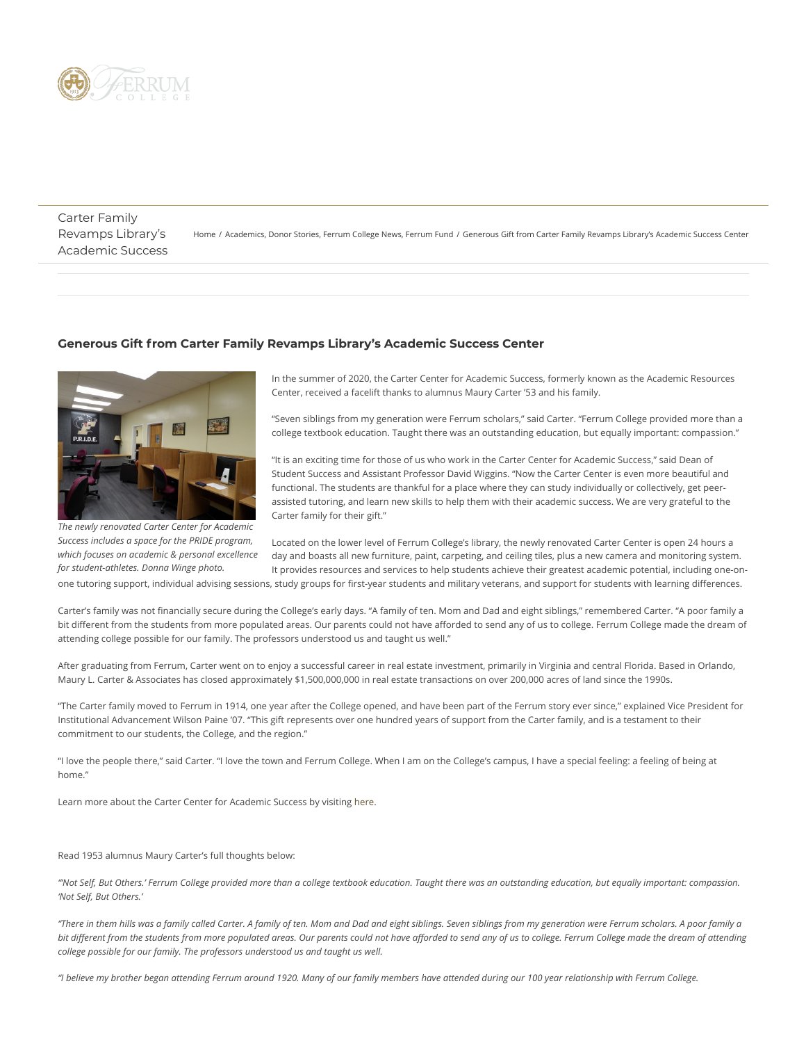

Carter Family Revamps Library's Academic Success

[Home](https://www.ferrum.edu/) / [Academics,](https://www.ferrum.edu/blog/category/academics/) [Donor Stories](https://www.ferrum.edu/blog/category/donor-stories/), [Ferrum College News](https://www.ferrum.edu/blog/category/ferrum-college-news/), [Ferrum Fund](https://www.ferrum.edu/blog/category/ferrum-fund/) / Generous Gift from Carter Family Revamps Library's Academic Success Center

## **Generous Gift from Carter Family Revamps Library's Academic Success Center**



*The newly renovated Carter Center for Academic Success includes a space for the PRIDE program, which focuses on academic & personal excellence for student-athletes. Donna Winge photo.*

In the summer of 2020, the Carter Center for Academic Success, formerly known as the Academic Resources Center, received a facelift thanks to alumnus Maury Carter '53 and his family.

"Seven siblings from my generation were Ferrum scholars," said Carter. "Ferrum College provided more than a college textbook education. Taught there was an outstanding education, but equally important: compassion."

"It is an exciting time for those of us who work in the Carter Center for Academic Success," said Dean of Student Success and Assistant Professor David Wiggins. "Now the Carter Center is even more beautiful and functional. The students are thankful for a place where they can study individually or collectively, get peerassisted tutoring, and learn new skills to help them with their academic success. We are very grateful to the Carter family for their gift."

Located on the lower level of Ferrum College's library, the newly renovated Carter Center is open 24 hours a day and boasts all new furniture, paint, carpeting, and ceiling tiles, plus a new camera and monitoring system. It provides resources and services to help students achieve their greatest academic potential, including one-on-

one tutoring support, individual advising sessions, study groups for first-year students and military veterans, and support for students with learning differences.

Carter's family was not financially secure during the College's early days. "A family of ten. Mom and Dad and eight siblings," remembered Carter. "A poor family a bit different from the students from more populated areas. Our parents could not have afforded to send any of us to college. Ferrum College made the dream of attending college possible for our family. The professors understood us and taught us well."

After graduating from Ferrum, Carter went on to enjoy a successful career in real estate investment, primarily in Virginia and central Florida. Based in Orlando, Maury L. Carter & Associates has closed approximately \$1,500,000,000 in real estate transactions on over 200,000 acres of land since the 1990s.

"The Carter family moved to Ferrum in 1914, one year after the College opened, and have been part of the Ferrum story ever since," explained Vice President for Institutional Advancement Wilson Paine '07. "This gift represents over one hundred years of support from the Carter family, and is a testament to their commitment to our students, the College, and the region."

"I love the people there," said Carter. "I love the town and Ferrum College. When I am on the College's campus, I have a special feeling: a feeling of being at home."

Learn more about the Carter Center for Academic Success by visiting [here](https://www.ferrum.edu/academic-affairs/academic-resources-center/).

Read 1953 alumnus Maury Carter's full thoughts below:

*"'Not Self, But Others.' Ferrum College provided more than a college textbook education. Taught there was an outstanding education, but equally important: compassion. 'Not Self, But Others.'*

*"There in them hills was a family called Carter. A family of ten. Mom and Dad and eight siblings. Seven siblings from my generation were Ferrum scholars. A poor family a bit different from the students from more populated areas. Our parents could not have afforded to send any of us to college. Ferrum College made the dream of attending college possible for our family. The professors understood us and taught us well.*

*"I believe my brother began attending Ferrum around 1920. Many of our family members have attended during our 100 year relationship with Ferrum College.*